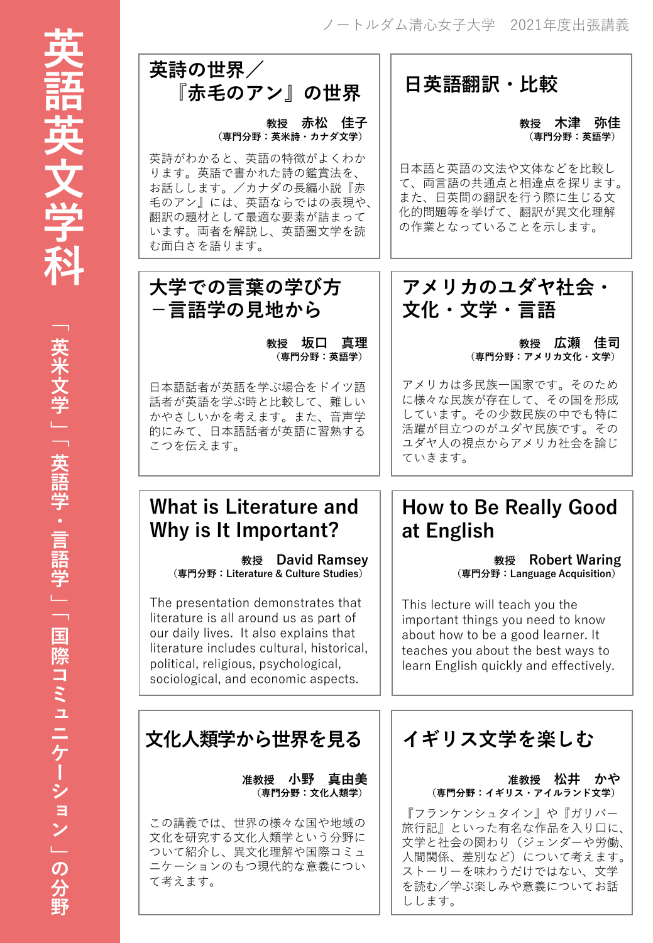

「英米文学」「英米文学」「英米文学」「英米文学」「英米文学」「英米文学」「英米文学」「英米文学」「英米文学」「英米文学」「国際コミュケーション」の分野。